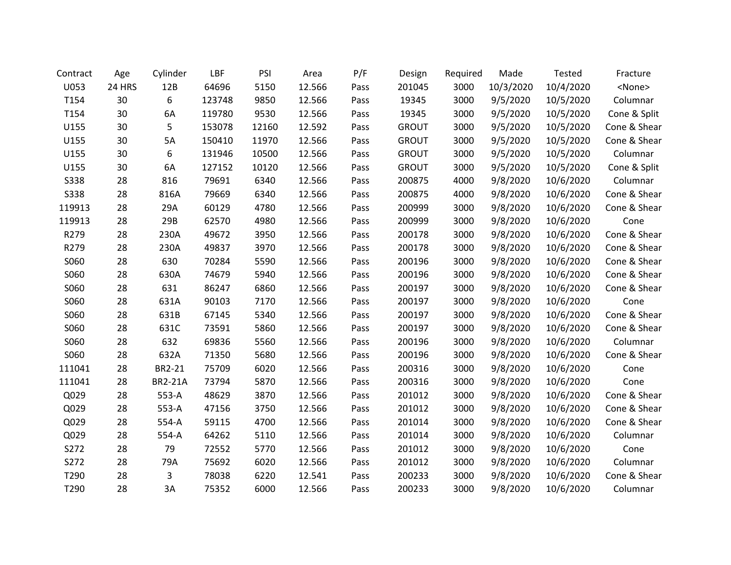| Contract    | Age    | Cylinder       | LBF    | PSI   | Area   | P/F  | Design       | Required | Made      | <b>Tested</b> | Fracture      |
|-------------|--------|----------------|--------|-------|--------|------|--------------|----------|-----------|---------------|---------------|
| U053        | 24 HRS | 12B            | 64696  | 5150  | 12.566 | Pass | 201045       | 3000     | 10/3/2020 | 10/4/2020     | <none></none> |
| T154        | 30     | 6              | 123748 | 9850  | 12.566 | Pass | 19345        | 3000     | 9/5/2020  | 10/5/2020     | Columnar      |
| T154        | 30     | 6A             | 119780 | 9530  | 12.566 | Pass | 19345        | 3000     | 9/5/2020  | 10/5/2020     | Cone & Split  |
| U155        | 30     | 5              | 153078 | 12160 | 12.592 | Pass | <b>GROUT</b> | 3000     | 9/5/2020  | 10/5/2020     | Cone & Shear  |
| U155        | 30     | 5A             | 150410 | 11970 | 12.566 | Pass | <b>GROUT</b> | 3000     | 9/5/2020  | 10/5/2020     | Cone & Shear  |
| U155        | 30     | 6              | 131946 | 10500 | 12.566 | Pass | <b>GROUT</b> | 3000     | 9/5/2020  | 10/5/2020     | Columnar      |
| U155        | 30     | 6A             | 127152 | 10120 | 12.566 | Pass | <b>GROUT</b> | 3000     | 9/5/2020  | 10/5/2020     | Cone & Split  |
| <b>S338</b> | 28     | 816            | 79691  | 6340  | 12.566 | Pass | 200875       | 4000     | 9/8/2020  | 10/6/2020     | Columnar      |
| <b>S338</b> | 28     | 816A           | 79669  | 6340  | 12.566 | Pass | 200875       | 4000     | 9/8/2020  | 10/6/2020     | Cone & Shear  |
| 119913      | 28     | 29A            | 60129  | 4780  | 12.566 | Pass | 200999       | 3000     | 9/8/2020  | 10/6/2020     | Cone & Shear  |
| 119913      | 28     | 29B            | 62570  | 4980  | 12.566 | Pass | 200999       | 3000     | 9/8/2020  | 10/6/2020     | Cone          |
| R279        | 28     | 230A           | 49672  | 3950  | 12.566 | Pass | 200178       | 3000     | 9/8/2020  | 10/6/2020     | Cone & Shear  |
| R279        | 28     | 230A           | 49837  | 3970  | 12.566 | Pass | 200178       | 3000     | 9/8/2020  | 10/6/2020     | Cone & Shear  |
| S060        | 28     | 630            | 70284  | 5590  | 12.566 | Pass | 200196       | 3000     | 9/8/2020  | 10/6/2020     | Cone & Shear  |
| S060        | 28     | 630A           | 74679  | 5940  | 12.566 | Pass | 200196       | 3000     | 9/8/2020  | 10/6/2020     | Cone & Shear  |
| S060        | 28     | 631            | 86247  | 6860  | 12.566 | Pass | 200197       | 3000     | 9/8/2020  | 10/6/2020     | Cone & Shear  |
| S060        | 28     | 631A           | 90103  | 7170  | 12.566 | Pass | 200197       | 3000     | 9/8/2020  | 10/6/2020     | Cone          |
| S060        | 28     | 631B           | 67145  | 5340  | 12.566 | Pass | 200197       | 3000     | 9/8/2020  | 10/6/2020     | Cone & Shear  |
| S060        | 28     | 631C           | 73591  | 5860  | 12.566 | Pass | 200197       | 3000     | 9/8/2020  | 10/6/2020     | Cone & Shear  |
| S060        | 28     | 632            | 69836  | 5560  | 12.566 | Pass | 200196       | 3000     | 9/8/2020  | 10/6/2020     | Columnar      |
| S060        | 28     | 632A           | 71350  | 5680  | 12.566 | Pass | 200196       | 3000     | 9/8/2020  | 10/6/2020     | Cone & Shear  |
| 111041      | 28     | BR2-21         | 75709  | 6020  | 12.566 | Pass | 200316       | 3000     | 9/8/2020  | 10/6/2020     | Cone          |
| 111041      | 28     | <b>BR2-21A</b> | 73794  | 5870  | 12.566 | Pass | 200316       | 3000     | 9/8/2020  | 10/6/2020     | Cone          |
| Q029        | 28     | 553-A          | 48629  | 3870  | 12.566 | Pass | 201012       | 3000     | 9/8/2020  | 10/6/2020     | Cone & Shear  |
| Q029        | 28     | 553-A          | 47156  | 3750  | 12.566 | Pass | 201012       | 3000     | 9/8/2020  | 10/6/2020     | Cone & Shear  |
| Q029        | 28     | 554-A          | 59115  | 4700  | 12.566 | Pass | 201014       | 3000     | 9/8/2020  | 10/6/2020     | Cone & Shear  |
| Q029        | 28     | 554-A          | 64262  | 5110  | 12.566 | Pass | 201014       | 3000     | 9/8/2020  | 10/6/2020     | Columnar      |
| S272        | 28     | 79             | 72552  | 5770  | 12.566 | Pass | 201012       | 3000     | 9/8/2020  | 10/6/2020     | Cone          |
| S272        | 28     | 79A            | 75692  | 6020  | 12.566 | Pass | 201012       | 3000     | 9/8/2020  | 10/6/2020     | Columnar      |
| T290        | 28     | 3              | 78038  | 6220  | 12.541 | Pass | 200233       | 3000     | 9/8/2020  | 10/6/2020     | Cone & Shear  |
| T290        | 28     | 3A             | 75352  | 6000  | 12.566 | Pass | 200233       | 3000     | 9/8/2020  | 10/6/2020     | Columnar      |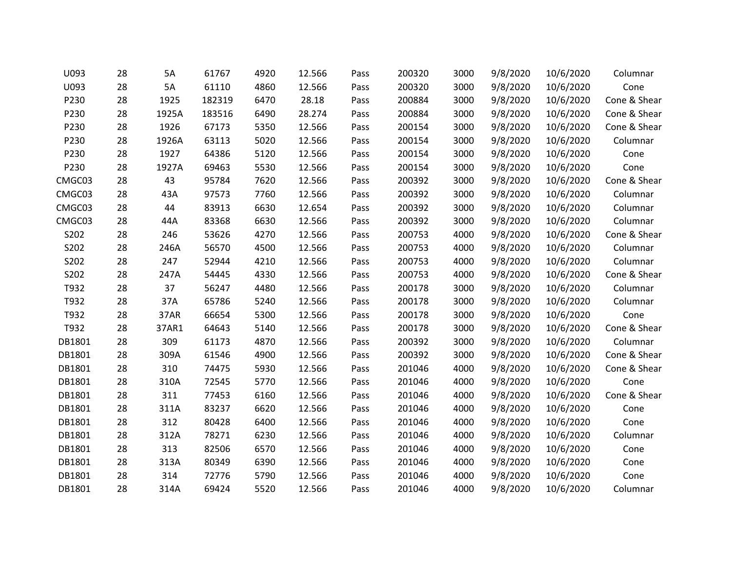| U093   | 28 | 5A    | 61767  | 4920 | 12.566 | Pass | 200320 | 3000 | 9/8/2020 | 10/6/2020 | Columnar     |
|--------|----|-------|--------|------|--------|------|--------|------|----------|-----------|--------------|
| U093   | 28 | 5A    | 61110  | 4860 | 12.566 | Pass | 200320 | 3000 | 9/8/2020 | 10/6/2020 | Cone         |
| P230   | 28 | 1925  | 182319 | 6470 | 28.18  | Pass | 200884 | 3000 | 9/8/2020 | 10/6/2020 | Cone & Shear |
| P230   | 28 | 1925A | 183516 | 6490 | 28.274 | Pass | 200884 | 3000 | 9/8/2020 | 10/6/2020 | Cone & Shear |
| P230   | 28 | 1926  | 67173  | 5350 | 12.566 | Pass | 200154 | 3000 | 9/8/2020 | 10/6/2020 | Cone & Shear |
| P230   | 28 | 1926A | 63113  | 5020 | 12.566 | Pass | 200154 | 3000 | 9/8/2020 | 10/6/2020 | Columnar     |
| P230   | 28 | 1927  | 64386  | 5120 | 12.566 | Pass | 200154 | 3000 | 9/8/2020 | 10/6/2020 | Cone         |
| P230   | 28 | 1927A | 69463  | 5530 | 12.566 | Pass | 200154 | 3000 | 9/8/2020 | 10/6/2020 | Cone         |
| CMGC03 | 28 | 43    | 95784  | 7620 | 12.566 | Pass | 200392 | 3000 | 9/8/2020 | 10/6/2020 | Cone & Shear |
| CMGC03 | 28 | 43A   | 97573  | 7760 | 12.566 | Pass | 200392 | 3000 | 9/8/2020 | 10/6/2020 | Columnar     |
| CMGC03 | 28 | 44    | 83913  | 6630 | 12.654 | Pass | 200392 | 3000 | 9/8/2020 | 10/6/2020 | Columnar     |
| CMGC03 | 28 | 44A   | 83368  | 6630 | 12.566 | Pass | 200392 | 3000 | 9/8/2020 | 10/6/2020 | Columnar     |
| S202   | 28 | 246   | 53626  | 4270 | 12.566 | Pass | 200753 | 4000 | 9/8/2020 | 10/6/2020 | Cone & Shear |
| S202   | 28 | 246A  | 56570  | 4500 | 12.566 | Pass | 200753 | 4000 | 9/8/2020 | 10/6/2020 | Columnar     |
| S202   | 28 | 247   | 52944  | 4210 | 12.566 | Pass | 200753 | 4000 | 9/8/2020 | 10/6/2020 | Columnar     |
| S202   | 28 | 247A  | 54445  | 4330 | 12.566 | Pass | 200753 | 4000 | 9/8/2020 | 10/6/2020 | Cone & Shear |
| T932   | 28 | 37    | 56247  | 4480 | 12.566 | Pass | 200178 | 3000 | 9/8/2020 | 10/6/2020 | Columnar     |
| T932   | 28 | 37A   | 65786  | 5240 | 12.566 | Pass | 200178 | 3000 | 9/8/2020 | 10/6/2020 | Columnar     |
| T932   | 28 | 37AR  | 66654  | 5300 | 12.566 | Pass | 200178 | 3000 | 9/8/2020 | 10/6/2020 | Cone         |
| T932   | 28 | 37AR1 | 64643  | 5140 | 12.566 | Pass | 200178 | 3000 | 9/8/2020 | 10/6/2020 | Cone & Shear |
| DB1801 | 28 | 309   | 61173  | 4870 | 12.566 | Pass | 200392 | 3000 | 9/8/2020 | 10/6/2020 | Columnar     |
| DB1801 | 28 | 309A  | 61546  | 4900 | 12.566 | Pass | 200392 | 3000 | 9/8/2020 | 10/6/2020 | Cone & Shear |
| DB1801 | 28 | 310   | 74475  | 5930 | 12.566 | Pass | 201046 | 4000 | 9/8/2020 | 10/6/2020 | Cone & Shear |
| DB1801 | 28 | 310A  | 72545  | 5770 | 12.566 | Pass | 201046 | 4000 | 9/8/2020 | 10/6/2020 | Cone         |
| DB1801 | 28 | 311   | 77453  | 6160 | 12.566 | Pass | 201046 | 4000 | 9/8/2020 | 10/6/2020 | Cone & Shear |
| DB1801 | 28 | 311A  | 83237  | 6620 | 12.566 | Pass | 201046 | 4000 | 9/8/2020 | 10/6/2020 | Cone         |
| DB1801 | 28 | 312   | 80428  | 6400 | 12.566 | Pass | 201046 | 4000 | 9/8/2020 | 10/6/2020 | Cone         |
| DB1801 | 28 | 312A  | 78271  | 6230 | 12.566 | Pass | 201046 | 4000 | 9/8/2020 | 10/6/2020 | Columnar     |
| DB1801 | 28 | 313   | 82506  | 6570 | 12.566 | Pass | 201046 | 4000 | 9/8/2020 | 10/6/2020 | Cone         |
| DB1801 | 28 | 313A  | 80349  | 6390 | 12.566 | Pass | 201046 | 4000 | 9/8/2020 | 10/6/2020 | Cone         |
| DB1801 | 28 | 314   | 72776  | 5790 | 12.566 | Pass | 201046 | 4000 | 9/8/2020 | 10/6/2020 | Cone         |
| DB1801 | 28 | 314A  | 69424  | 5520 | 12.566 | Pass | 201046 | 4000 | 9/8/2020 | 10/6/2020 | Columnar     |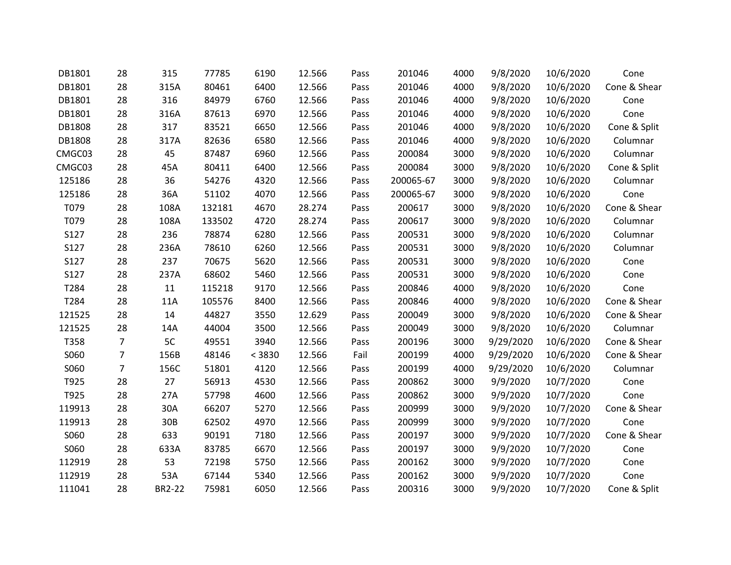| DB1801 | 28 | 315    | 77785  | 6190   | 12.566 | Pass | 201046    | 4000 | 9/8/2020  | 10/6/2020 | Cone         |
|--------|----|--------|--------|--------|--------|------|-----------|------|-----------|-----------|--------------|
| DB1801 | 28 | 315A   | 80461  | 6400   | 12.566 | Pass | 201046    | 4000 | 9/8/2020  | 10/6/2020 | Cone & Shear |
| DB1801 | 28 | 316    | 84979  | 6760   | 12.566 | Pass | 201046    | 4000 | 9/8/2020  | 10/6/2020 | Cone         |
| DB1801 | 28 | 316A   | 87613  | 6970   | 12.566 | Pass | 201046    | 4000 | 9/8/2020  | 10/6/2020 | Cone         |
| DB1808 | 28 | 317    | 83521  | 6650   | 12.566 | Pass | 201046    | 4000 | 9/8/2020  | 10/6/2020 | Cone & Split |
| DB1808 | 28 | 317A   | 82636  | 6580   | 12.566 | Pass | 201046    | 4000 | 9/8/2020  | 10/6/2020 | Columnar     |
| CMGC03 | 28 | 45     | 87487  | 6960   | 12.566 | Pass | 200084    | 3000 | 9/8/2020  | 10/6/2020 | Columnar     |
| CMGC03 | 28 | 45A    | 80411  | 6400   | 12.566 | Pass | 200084    | 3000 | 9/8/2020  | 10/6/2020 | Cone & Split |
| 125186 | 28 | 36     | 54276  | 4320   | 12.566 | Pass | 200065-67 | 3000 | 9/8/2020  | 10/6/2020 | Columnar     |
| 125186 | 28 | 36A    | 51102  | 4070   | 12.566 | Pass | 200065-67 | 3000 | 9/8/2020  | 10/6/2020 | Cone         |
| T079   | 28 | 108A   | 132181 | 4670   | 28.274 | Pass | 200617    | 3000 | 9/8/2020  | 10/6/2020 | Cone & Shear |
| T079   | 28 | 108A   | 133502 | 4720   | 28.274 | Pass | 200617    | 3000 | 9/8/2020  | 10/6/2020 | Columnar     |
| S127   | 28 | 236    | 78874  | 6280   | 12.566 | Pass | 200531    | 3000 | 9/8/2020  | 10/6/2020 | Columnar     |
| S127   | 28 | 236A   | 78610  | 6260   | 12.566 | Pass | 200531    | 3000 | 9/8/2020  | 10/6/2020 | Columnar     |
| S127   | 28 | 237    | 70675  | 5620   | 12.566 | Pass | 200531    | 3000 | 9/8/2020  | 10/6/2020 | Cone         |
| S127   | 28 | 237A   | 68602  | 5460   | 12.566 | Pass | 200531    | 3000 | 9/8/2020  | 10/6/2020 | Cone         |
| T284   | 28 | 11     | 115218 | 9170   | 12.566 | Pass | 200846    | 4000 | 9/8/2020  | 10/6/2020 | Cone         |
| T284   | 28 | 11A    | 105576 | 8400   | 12.566 | Pass | 200846    | 4000 | 9/8/2020  | 10/6/2020 | Cone & Shear |
| 121525 | 28 | 14     | 44827  | 3550   | 12.629 | Pass | 200049    | 3000 | 9/8/2020  | 10/6/2020 | Cone & Shear |
| 121525 | 28 | 14A    | 44004  | 3500   | 12.566 | Pass | 200049    | 3000 | 9/8/2020  | 10/6/2020 | Columnar     |
| T358   | 7  | 5C     | 49551  | 3940   | 12.566 | Pass | 200196    | 3000 | 9/29/2020 | 10/6/2020 | Cone & Shear |
| S060   | 7  | 156B   | 48146  | < 3830 | 12.566 | Fail | 200199    | 4000 | 9/29/2020 | 10/6/2020 | Cone & Shear |
| S060   | 7  | 156C   | 51801  | 4120   | 12.566 | Pass | 200199    | 4000 | 9/29/2020 | 10/6/2020 | Columnar     |
| T925   | 28 | 27     | 56913  | 4530   | 12.566 | Pass | 200862    | 3000 | 9/9/2020  | 10/7/2020 | Cone         |
| T925   | 28 | 27A    | 57798  | 4600   | 12.566 | Pass | 200862    | 3000 | 9/9/2020  | 10/7/2020 | Cone         |
| 119913 | 28 | 30A    | 66207  | 5270   | 12.566 | Pass | 200999    | 3000 | 9/9/2020  | 10/7/2020 | Cone & Shear |
| 119913 | 28 | 30B    | 62502  | 4970   | 12.566 | Pass | 200999    | 3000 | 9/9/2020  | 10/7/2020 | Cone         |
| S060   | 28 | 633    | 90191  | 7180   | 12.566 | Pass | 200197    | 3000 | 9/9/2020  | 10/7/2020 | Cone & Shear |
| S060   | 28 | 633A   | 83785  | 6670   | 12.566 | Pass | 200197    | 3000 | 9/9/2020  | 10/7/2020 | Cone         |
| 112919 | 28 | 53     | 72198  | 5750   | 12.566 | Pass | 200162    | 3000 | 9/9/2020  | 10/7/2020 | Cone         |
| 112919 | 28 | 53A    | 67144  | 5340   | 12.566 | Pass | 200162    | 3000 | 9/9/2020  | 10/7/2020 | Cone         |
| 111041 | 28 | BR2-22 | 75981  | 6050   | 12.566 | Pass | 200316    | 3000 | 9/9/2020  | 10/7/2020 | Cone & Split |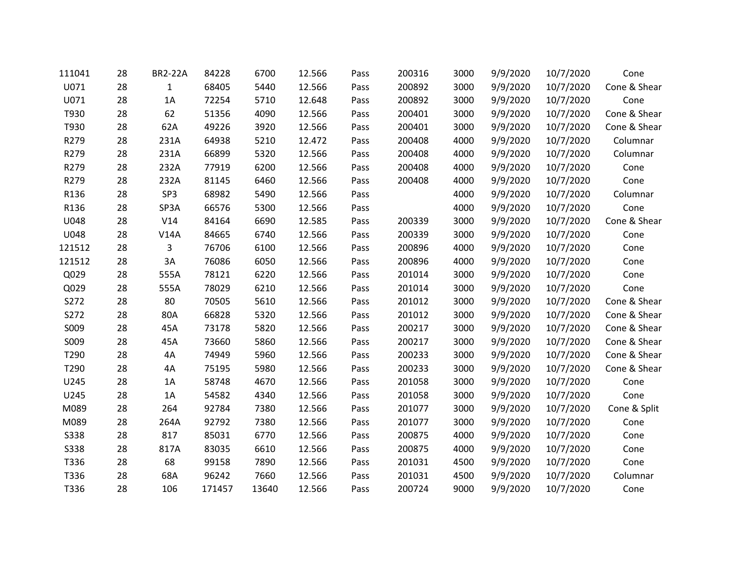| 111041      | 28 | <b>BR2-22A</b> | 84228  | 6700  | 12.566 | Pass | 200316 | 3000 | 9/9/2020 | 10/7/2020 | Cone         |
|-------------|----|----------------|--------|-------|--------|------|--------|------|----------|-----------|--------------|
| U071        | 28 | $\mathbf{1}$   | 68405  | 5440  | 12.566 | Pass | 200892 | 3000 | 9/9/2020 | 10/7/2020 | Cone & Shear |
| U071        | 28 | 1A             | 72254  | 5710  | 12.648 | Pass | 200892 | 3000 | 9/9/2020 | 10/7/2020 | Cone         |
| T930        | 28 | 62             | 51356  | 4090  | 12.566 | Pass | 200401 | 3000 | 9/9/2020 | 10/7/2020 | Cone & Shear |
| T930        | 28 | 62A            | 49226  | 3920  | 12.566 | Pass | 200401 | 3000 | 9/9/2020 | 10/7/2020 | Cone & Shear |
| R279        | 28 | 231A           | 64938  | 5210  | 12.472 | Pass | 200408 | 4000 | 9/9/2020 | 10/7/2020 | Columnar     |
| R279        | 28 | 231A           | 66899  | 5320  | 12.566 | Pass | 200408 | 4000 | 9/9/2020 | 10/7/2020 | Columnar     |
| R279        | 28 | 232A           | 77919  | 6200  | 12.566 | Pass | 200408 | 4000 | 9/9/2020 | 10/7/2020 | Cone         |
| R279        | 28 | 232A           | 81145  | 6460  | 12.566 | Pass | 200408 | 4000 | 9/9/2020 | 10/7/2020 | Cone         |
| R136        | 28 | SP3            | 68982  | 5490  | 12.566 | Pass |        | 4000 | 9/9/2020 | 10/7/2020 | Columnar     |
| R136        | 28 | SP3A           | 66576  | 5300  | 12.566 | Pass |        | 4000 | 9/9/2020 | 10/7/2020 | Cone         |
| U048        | 28 | V14            | 84164  | 6690  | 12.585 | Pass | 200339 | 3000 | 9/9/2020 | 10/7/2020 | Cone & Shear |
| U048        | 28 | V14A           | 84665  | 6740  | 12.566 | Pass | 200339 | 3000 | 9/9/2020 | 10/7/2020 | Cone         |
| 121512      | 28 | 3              | 76706  | 6100  | 12.566 | Pass | 200896 | 4000 | 9/9/2020 | 10/7/2020 | Cone         |
| 121512      | 28 | 3A             | 76086  | 6050  | 12.566 | Pass | 200896 | 4000 | 9/9/2020 | 10/7/2020 | Cone         |
| Q029        | 28 | 555A           | 78121  | 6220  | 12.566 | Pass | 201014 | 3000 | 9/9/2020 | 10/7/2020 | Cone         |
| Q029        | 28 | 555A           | 78029  | 6210  | 12.566 | Pass | 201014 | 3000 | 9/9/2020 | 10/7/2020 | Cone         |
| S272        | 28 | 80             | 70505  | 5610  | 12.566 | Pass | 201012 | 3000 | 9/9/2020 | 10/7/2020 | Cone & Shear |
| S272        | 28 | 80A            | 66828  | 5320  | 12.566 | Pass | 201012 | 3000 | 9/9/2020 | 10/7/2020 | Cone & Shear |
| S009        | 28 | 45A            | 73178  | 5820  | 12.566 | Pass | 200217 | 3000 | 9/9/2020 | 10/7/2020 | Cone & Shear |
| S009        | 28 | 45A            | 73660  | 5860  | 12.566 | Pass | 200217 | 3000 | 9/9/2020 | 10/7/2020 | Cone & Shear |
| T290        | 28 | 4A             | 74949  | 5960  | 12.566 | Pass | 200233 | 3000 | 9/9/2020 | 10/7/2020 | Cone & Shear |
| T290        | 28 | 4A             | 75195  | 5980  | 12.566 | Pass | 200233 | 3000 | 9/9/2020 | 10/7/2020 | Cone & Shear |
| U245        | 28 | 1A             | 58748  | 4670  | 12.566 | Pass | 201058 | 3000 | 9/9/2020 | 10/7/2020 | Cone         |
| U245        | 28 | 1A             | 54582  | 4340  | 12.566 | Pass | 201058 | 3000 | 9/9/2020 | 10/7/2020 | Cone         |
| M089        | 28 | 264            | 92784  | 7380  | 12.566 | Pass | 201077 | 3000 | 9/9/2020 | 10/7/2020 | Cone & Split |
| M089        | 28 | 264A           | 92792  | 7380  | 12.566 | Pass | 201077 | 3000 | 9/9/2020 | 10/7/2020 | Cone         |
| <b>S338</b> | 28 | 817            | 85031  | 6770  | 12.566 | Pass | 200875 | 4000 | 9/9/2020 | 10/7/2020 | Cone         |
| <b>S338</b> | 28 | 817A           | 83035  | 6610  | 12.566 | Pass | 200875 | 4000 | 9/9/2020 | 10/7/2020 | Cone         |
| T336        | 28 | 68             | 99158  | 7890  | 12.566 | Pass | 201031 | 4500 | 9/9/2020 | 10/7/2020 | Cone         |
| T336        | 28 | 68A            | 96242  | 7660  | 12.566 | Pass | 201031 | 4500 | 9/9/2020 | 10/7/2020 | Columnar     |
| T336        | 28 | 106            | 171457 | 13640 | 12.566 | Pass | 200724 | 9000 | 9/9/2020 | 10/7/2020 | Cone         |
|             |    |                |        |       |        |      |        |      |          |           |              |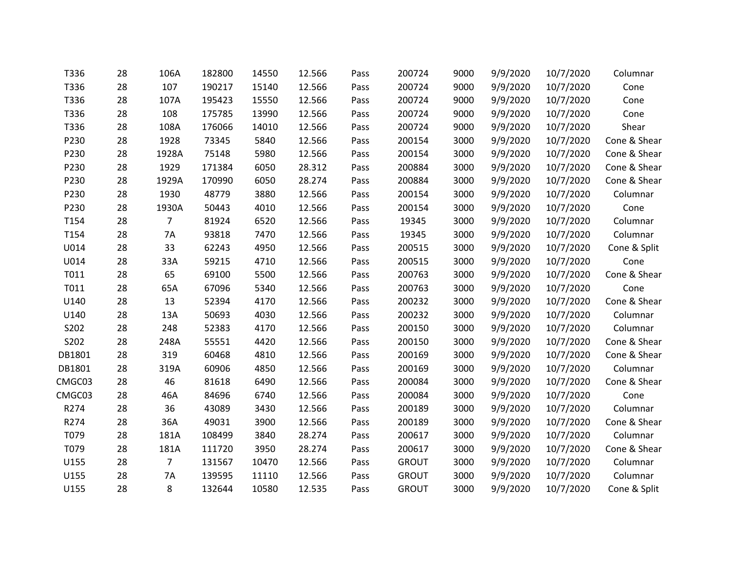| T336   | 28 | 106A           | 182800 | 14550 | 12.566 | Pass | 200724       | 9000 | 9/9/2020 | 10/7/2020 | Columnar     |
|--------|----|----------------|--------|-------|--------|------|--------------|------|----------|-----------|--------------|
| T336   | 28 | 107            | 190217 | 15140 | 12.566 | Pass | 200724       | 9000 | 9/9/2020 | 10/7/2020 | Cone         |
| T336   | 28 | 107A           | 195423 | 15550 | 12.566 | Pass | 200724       | 9000 | 9/9/2020 | 10/7/2020 | Cone         |
| T336   | 28 | 108            | 175785 | 13990 | 12.566 | Pass | 200724       | 9000 | 9/9/2020 | 10/7/2020 | Cone         |
| T336   | 28 | 108A           | 176066 | 14010 | 12.566 | Pass | 200724       | 9000 | 9/9/2020 | 10/7/2020 | Shear        |
| P230   | 28 | 1928           | 73345  | 5840  | 12.566 | Pass | 200154       | 3000 | 9/9/2020 | 10/7/2020 | Cone & Shear |
| P230   | 28 | 1928A          | 75148  | 5980  | 12.566 | Pass | 200154       | 3000 | 9/9/2020 | 10/7/2020 | Cone & Shear |
| P230   | 28 | 1929           | 171384 | 6050  | 28.312 | Pass | 200884       | 3000 | 9/9/2020 | 10/7/2020 | Cone & Shear |
| P230   | 28 | 1929A          | 170990 | 6050  | 28.274 | Pass | 200884       | 3000 | 9/9/2020 | 10/7/2020 | Cone & Shear |
| P230   | 28 | 1930           | 48779  | 3880  | 12.566 | Pass | 200154       | 3000 | 9/9/2020 | 10/7/2020 | Columnar     |
| P230   | 28 | 1930A          | 50443  | 4010  | 12.566 | Pass | 200154       | 3000 | 9/9/2020 | 10/7/2020 | Cone         |
| T154   | 28 | $\overline{7}$ | 81924  | 6520  | 12.566 | Pass | 19345        | 3000 | 9/9/2020 | 10/7/2020 | Columnar     |
| T154   | 28 | 7A             | 93818  | 7470  | 12.566 | Pass | 19345        | 3000 | 9/9/2020 | 10/7/2020 | Columnar     |
| U014   | 28 | 33             | 62243  | 4950  | 12.566 | Pass | 200515       | 3000 | 9/9/2020 | 10/7/2020 | Cone & Split |
| U014   | 28 | 33A            | 59215  | 4710  | 12.566 | Pass | 200515       | 3000 | 9/9/2020 | 10/7/2020 | Cone         |
| T011   | 28 | 65             | 69100  | 5500  | 12.566 | Pass | 200763       | 3000 | 9/9/2020 | 10/7/2020 | Cone & Shear |
| T011   | 28 | 65A            | 67096  | 5340  | 12.566 | Pass | 200763       | 3000 | 9/9/2020 | 10/7/2020 | Cone         |
| U140   | 28 | 13             | 52394  | 4170  | 12.566 | Pass | 200232       | 3000 | 9/9/2020 | 10/7/2020 | Cone & Shear |
| U140   | 28 | 13A            | 50693  | 4030  | 12.566 | Pass | 200232       | 3000 | 9/9/2020 | 10/7/2020 | Columnar     |
| S202   | 28 | 248            | 52383  | 4170  | 12.566 | Pass | 200150       | 3000 | 9/9/2020 | 10/7/2020 | Columnar     |
| S202   | 28 | 248A           | 55551  | 4420  | 12.566 | Pass | 200150       | 3000 | 9/9/2020 | 10/7/2020 | Cone & Shear |
| DB1801 | 28 | 319            | 60468  | 4810  | 12.566 | Pass | 200169       | 3000 | 9/9/2020 | 10/7/2020 | Cone & Shear |
| DB1801 | 28 | 319A           | 60906  | 4850  | 12.566 | Pass | 200169       | 3000 | 9/9/2020 | 10/7/2020 | Columnar     |
| CMGC03 | 28 | 46             | 81618  | 6490  | 12.566 | Pass | 200084       | 3000 | 9/9/2020 | 10/7/2020 | Cone & Shear |
| CMGC03 | 28 | 46A            | 84696  | 6740  | 12.566 | Pass | 200084       | 3000 | 9/9/2020 | 10/7/2020 | Cone         |
| R274   | 28 | 36             | 43089  | 3430  | 12.566 | Pass | 200189       | 3000 | 9/9/2020 | 10/7/2020 | Columnar     |
| R274   | 28 | 36A            | 49031  | 3900  | 12.566 | Pass | 200189       | 3000 | 9/9/2020 | 10/7/2020 | Cone & Shear |
| T079   | 28 | 181A           | 108499 | 3840  | 28.274 | Pass | 200617       | 3000 | 9/9/2020 | 10/7/2020 | Columnar     |
| T079   | 28 | 181A           | 111720 | 3950  | 28.274 | Pass | 200617       | 3000 | 9/9/2020 | 10/7/2020 | Cone & Shear |
| U155   | 28 | $\overline{7}$ | 131567 | 10470 | 12.566 | Pass | <b>GROUT</b> | 3000 | 9/9/2020 | 10/7/2020 | Columnar     |
| U155   | 28 | 7A             | 139595 | 11110 | 12.566 | Pass | <b>GROUT</b> | 3000 | 9/9/2020 | 10/7/2020 | Columnar     |
| U155   | 28 | 8              | 132644 | 10580 | 12.535 | Pass | <b>GROUT</b> | 3000 | 9/9/2020 | 10/7/2020 | Cone & Split |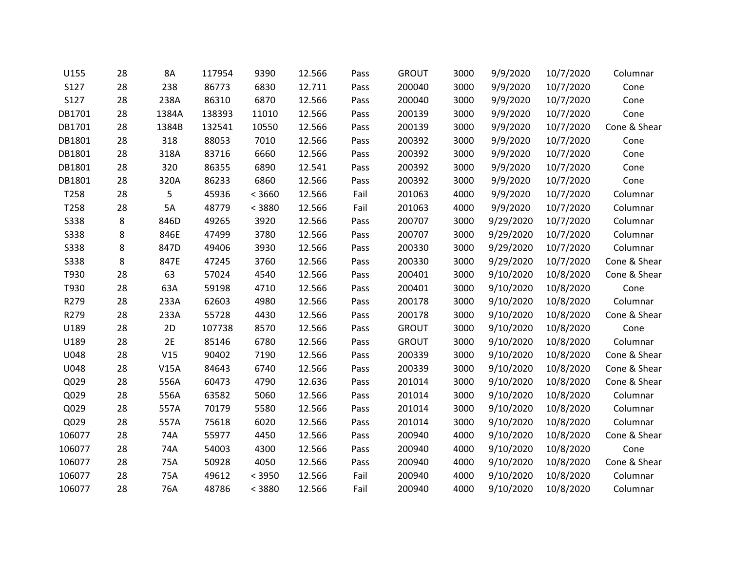| U155        | 28 | 8A    | 117954 | 9390   | 12.566 | Pass | <b>GROUT</b> | 3000 | 9/9/2020  | 10/7/2020 | Columnar     |
|-------------|----|-------|--------|--------|--------|------|--------------|------|-----------|-----------|--------------|
| S127        | 28 | 238   | 86773  | 6830   | 12.711 | Pass | 200040       | 3000 | 9/9/2020  | 10/7/2020 | Cone         |
| S127        | 28 | 238A  | 86310  | 6870   | 12.566 | Pass | 200040       | 3000 | 9/9/2020  | 10/7/2020 | Cone         |
| DB1701      | 28 | 1384A | 138393 | 11010  | 12.566 | Pass | 200139       | 3000 | 9/9/2020  | 10/7/2020 | Cone         |
| DB1701      | 28 | 1384B | 132541 | 10550  | 12.566 | Pass | 200139       | 3000 | 9/9/2020  | 10/7/2020 | Cone & Shear |
| DB1801      | 28 | 318   | 88053  | 7010   | 12.566 | Pass | 200392       | 3000 | 9/9/2020  | 10/7/2020 | Cone         |
| DB1801      | 28 | 318A  | 83716  | 6660   | 12.566 | Pass | 200392       | 3000 | 9/9/2020  | 10/7/2020 | Cone         |
| DB1801      | 28 | 320   | 86355  | 6890   | 12.541 | Pass | 200392       | 3000 | 9/9/2020  | 10/7/2020 | Cone         |
| DB1801      | 28 | 320A  | 86233  | 6860   | 12.566 | Pass | 200392       | 3000 | 9/9/2020  | 10/7/2020 | Cone         |
| T258        | 28 | 5     | 45936  | < 3660 | 12.566 | Fail | 201063       | 4000 | 9/9/2020  | 10/7/2020 | Columnar     |
| T258        | 28 | 5A    | 48779  | < 3880 | 12.566 | Fail | 201063       | 4000 | 9/9/2020  | 10/7/2020 | Columnar     |
| <b>S338</b> | 8  | 846D  | 49265  | 3920   | 12.566 | Pass | 200707       | 3000 | 9/29/2020 | 10/7/2020 | Columnar     |
| <b>S338</b> | 8  | 846E  | 47499  | 3780   | 12.566 | Pass | 200707       | 3000 | 9/29/2020 | 10/7/2020 | Columnar     |
| S338        | 8  | 847D  | 49406  | 3930   | 12.566 | Pass | 200330       | 3000 | 9/29/2020 | 10/7/2020 | Columnar     |
| <b>S338</b> | 8  | 847E  | 47245  | 3760   | 12.566 | Pass | 200330       | 3000 | 9/29/2020 | 10/7/2020 | Cone & Shear |
| T930        | 28 | 63    | 57024  | 4540   | 12.566 | Pass | 200401       | 3000 | 9/10/2020 | 10/8/2020 | Cone & Shear |
| T930        | 28 | 63A   | 59198  | 4710   | 12.566 | Pass | 200401       | 3000 | 9/10/2020 | 10/8/2020 | Cone         |
| R279        | 28 | 233A  | 62603  | 4980   | 12.566 | Pass | 200178       | 3000 | 9/10/2020 | 10/8/2020 | Columnar     |
| R279        | 28 | 233A  | 55728  | 4430   | 12.566 | Pass | 200178       | 3000 | 9/10/2020 | 10/8/2020 | Cone & Shear |
| U189        | 28 | 2D    | 107738 | 8570   | 12.566 | Pass | <b>GROUT</b> | 3000 | 9/10/2020 | 10/8/2020 | Cone         |
| U189        | 28 | 2E    | 85146  | 6780   | 12.566 | Pass | <b>GROUT</b> | 3000 | 9/10/2020 | 10/8/2020 | Columnar     |
| U048        | 28 | V15   | 90402  | 7190   | 12.566 | Pass | 200339       | 3000 | 9/10/2020 | 10/8/2020 | Cone & Shear |
| U048        | 28 | V15A  | 84643  | 6740   | 12.566 | Pass | 200339       | 3000 | 9/10/2020 | 10/8/2020 | Cone & Shear |
| Q029        | 28 | 556A  | 60473  | 4790   | 12.636 | Pass | 201014       | 3000 | 9/10/2020 | 10/8/2020 | Cone & Shear |
| Q029        | 28 | 556A  | 63582  | 5060   | 12.566 | Pass | 201014       | 3000 | 9/10/2020 | 10/8/2020 | Columnar     |
| Q029        | 28 | 557A  | 70179  | 5580   | 12.566 | Pass | 201014       | 3000 | 9/10/2020 | 10/8/2020 | Columnar     |
| Q029        | 28 | 557A  | 75618  | 6020   | 12.566 | Pass | 201014       | 3000 | 9/10/2020 | 10/8/2020 | Columnar     |
| 106077      | 28 | 74A   | 55977  | 4450   | 12.566 | Pass | 200940       | 4000 | 9/10/2020 | 10/8/2020 | Cone & Shear |
| 106077      | 28 | 74A   | 54003  | 4300   | 12.566 | Pass | 200940       | 4000 | 9/10/2020 | 10/8/2020 | Cone         |
| 106077      | 28 | 75A   | 50928  | 4050   | 12.566 | Pass | 200940       | 4000 | 9/10/2020 | 10/8/2020 | Cone & Shear |
| 106077      | 28 | 75A   | 49612  | < 3950 | 12.566 | Fail | 200940       | 4000 | 9/10/2020 | 10/8/2020 | Columnar     |
| 106077      | 28 | 76A   | 48786  | < 3880 | 12.566 | Fail | 200940       | 4000 | 9/10/2020 | 10/8/2020 | Columnar     |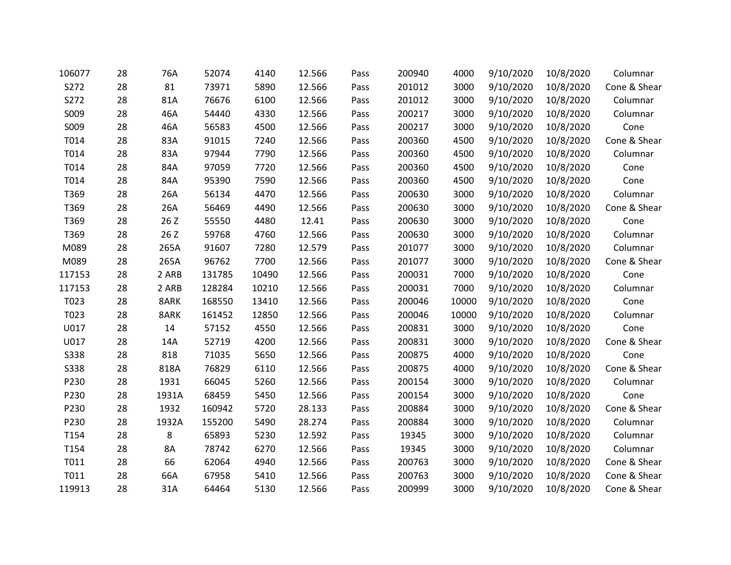| 106077      | 28 | 76A   | 52074  | 4140  | 12.566 | Pass | 200940 | 4000  | 9/10/2020 | 10/8/2020 | Columnar     |
|-------------|----|-------|--------|-------|--------|------|--------|-------|-----------|-----------|--------------|
| S272        | 28 | 81    | 73971  | 5890  | 12.566 | Pass | 201012 | 3000  | 9/10/2020 | 10/8/2020 | Cone & Shear |
| S272        | 28 | 81A   | 76676  | 6100  | 12.566 | Pass | 201012 | 3000  | 9/10/2020 | 10/8/2020 | Columnar     |
| S009        | 28 | 46A   | 54440  | 4330  | 12.566 | Pass | 200217 | 3000  | 9/10/2020 | 10/8/2020 | Columnar     |
| S009        | 28 | 46A   | 56583  | 4500  | 12.566 | Pass | 200217 | 3000  | 9/10/2020 | 10/8/2020 | Cone         |
| T014        | 28 | 83A   | 91015  | 7240  | 12.566 | Pass | 200360 | 4500  | 9/10/2020 | 10/8/2020 | Cone & Shear |
| T014        | 28 | 83A   | 97944  | 7790  | 12.566 | Pass | 200360 | 4500  | 9/10/2020 | 10/8/2020 | Columnar     |
| T014        | 28 | 84A   | 97059  | 7720  | 12.566 | Pass | 200360 | 4500  | 9/10/2020 | 10/8/2020 | Cone         |
| T014        | 28 | 84A   | 95390  | 7590  | 12.566 | Pass | 200360 | 4500  | 9/10/2020 | 10/8/2020 | Cone         |
| T369        | 28 | 26A   | 56134  | 4470  | 12.566 | Pass | 200630 | 3000  | 9/10/2020 | 10/8/2020 | Columnar     |
| T369        | 28 | 26A   | 56469  | 4490  | 12.566 | Pass | 200630 | 3000  | 9/10/2020 | 10/8/2020 | Cone & Shear |
| T369        | 28 | 26 Z  | 55550  | 4480  | 12.41  | Pass | 200630 | 3000  | 9/10/2020 | 10/8/2020 | Cone         |
| T369        | 28 | 26 Z  | 59768  | 4760  | 12.566 | Pass | 200630 | 3000  | 9/10/2020 | 10/8/2020 | Columnar     |
| M089        | 28 | 265A  | 91607  | 7280  | 12.579 | Pass | 201077 | 3000  | 9/10/2020 | 10/8/2020 | Columnar     |
| M089        | 28 | 265A  | 96762  | 7700  | 12.566 | Pass | 201077 | 3000  | 9/10/2020 | 10/8/2020 | Cone & Shear |
| 117153      | 28 | 2 ARB | 131785 | 10490 | 12.566 | Pass | 200031 | 7000  | 9/10/2020 | 10/8/2020 | Cone         |
| 117153      | 28 | 2 ARB | 128284 | 10210 | 12.566 | Pass | 200031 | 7000  | 9/10/2020 | 10/8/2020 | Columnar     |
| T023        | 28 | 8ARK  | 168550 | 13410 | 12.566 | Pass | 200046 | 10000 | 9/10/2020 | 10/8/2020 | Cone         |
| T023        | 28 | 8ARK  | 161452 | 12850 | 12.566 | Pass | 200046 | 10000 | 9/10/2020 | 10/8/2020 | Columnar     |
| U017        | 28 | 14    | 57152  | 4550  | 12.566 | Pass | 200831 | 3000  | 9/10/2020 | 10/8/2020 | Cone         |
| U017        | 28 | 14A   | 52719  | 4200  | 12.566 | Pass | 200831 | 3000  | 9/10/2020 | 10/8/2020 | Cone & Shear |
| <b>S338</b> | 28 | 818   | 71035  | 5650  | 12.566 | Pass | 200875 | 4000  | 9/10/2020 | 10/8/2020 | Cone         |
| <b>S338</b> | 28 | 818A  | 76829  | 6110  | 12.566 | Pass | 200875 | 4000  | 9/10/2020 | 10/8/2020 | Cone & Shear |
| P230        | 28 | 1931  | 66045  | 5260  | 12.566 | Pass | 200154 | 3000  | 9/10/2020 | 10/8/2020 | Columnar     |
| P230        | 28 | 1931A | 68459  | 5450  | 12.566 | Pass | 200154 | 3000  | 9/10/2020 | 10/8/2020 | Cone         |
| P230        | 28 | 1932  | 160942 | 5720  | 28.133 | Pass | 200884 | 3000  | 9/10/2020 | 10/8/2020 | Cone & Shear |
| P230        | 28 | 1932A | 155200 | 5490  | 28.274 | Pass | 200884 | 3000  | 9/10/2020 | 10/8/2020 | Columnar     |
| T154        | 28 | 8     | 65893  | 5230  | 12.592 | Pass | 19345  | 3000  | 9/10/2020 | 10/8/2020 | Columnar     |
| T154        | 28 | 8A    | 78742  | 6270  | 12.566 | Pass | 19345  | 3000  | 9/10/2020 | 10/8/2020 | Columnar     |
| T011        | 28 | 66    | 62064  | 4940  | 12.566 | Pass | 200763 | 3000  | 9/10/2020 | 10/8/2020 | Cone & Shear |
| T011        | 28 | 66A   | 67958  | 5410  | 12.566 | Pass | 200763 | 3000  | 9/10/2020 | 10/8/2020 | Cone & Shear |
| 119913      | 28 | 31A   | 64464  | 5130  | 12.566 | Pass | 200999 | 3000  | 9/10/2020 | 10/8/2020 | Cone & Shear |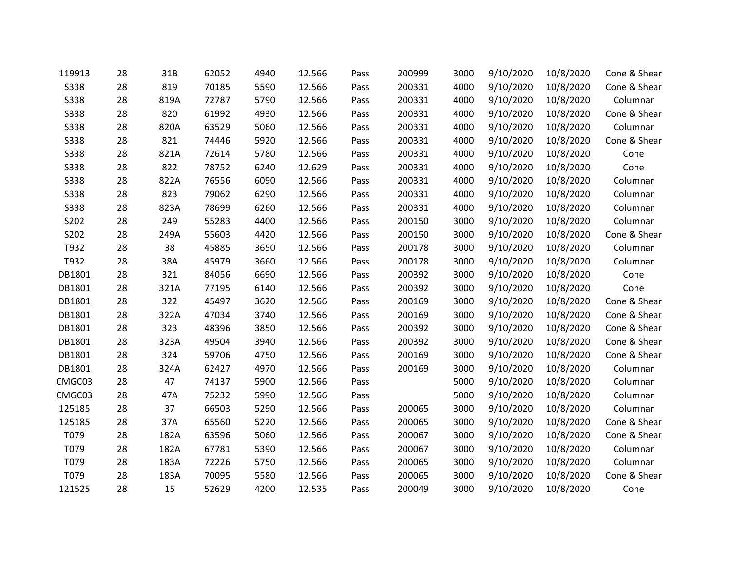| 119913      | 28 | 31B  | 62052 | 4940 | 12.566 | Pass | 200999 | 3000 | 9/10/2020 | 10/8/2020 | Cone & Shear |
|-------------|----|------|-------|------|--------|------|--------|------|-----------|-----------|--------------|
| <b>S338</b> | 28 | 819  | 70185 | 5590 | 12.566 | Pass | 200331 | 4000 | 9/10/2020 | 10/8/2020 | Cone & Shear |
| S338        | 28 | 819A | 72787 | 5790 | 12.566 | Pass | 200331 | 4000 | 9/10/2020 | 10/8/2020 | Columnar     |
| <b>S338</b> | 28 | 820  | 61992 | 4930 | 12.566 | Pass | 200331 | 4000 | 9/10/2020 | 10/8/2020 | Cone & Shear |
| S338        | 28 | 820A | 63529 | 5060 | 12.566 | Pass | 200331 | 4000 | 9/10/2020 | 10/8/2020 | Columnar     |
| <b>S338</b> | 28 | 821  | 74446 | 5920 | 12.566 | Pass | 200331 | 4000 | 9/10/2020 | 10/8/2020 | Cone & Shear |
| <b>S338</b> | 28 | 821A | 72614 | 5780 | 12.566 | Pass | 200331 | 4000 | 9/10/2020 | 10/8/2020 | Cone         |
| <b>S338</b> | 28 | 822  | 78752 | 6240 | 12.629 | Pass | 200331 | 4000 | 9/10/2020 | 10/8/2020 | Cone         |
| <b>S338</b> | 28 | 822A | 76556 | 6090 | 12.566 | Pass | 200331 | 4000 | 9/10/2020 | 10/8/2020 | Columnar     |
| <b>S338</b> | 28 | 823  | 79062 | 6290 | 12.566 | Pass | 200331 | 4000 | 9/10/2020 | 10/8/2020 | Columnar     |
| S338        | 28 | 823A | 78699 | 6260 | 12.566 | Pass | 200331 | 4000 | 9/10/2020 | 10/8/2020 | Columnar     |
| S202        | 28 | 249  | 55283 | 4400 | 12.566 | Pass | 200150 | 3000 | 9/10/2020 | 10/8/2020 | Columnar     |
| S202        | 28 | 249A | 55603 | 4420 | 12.566 | Pass | 200150 | 3000 | 9/10/2020 | 10/8/2020 | Cone & Shear |
| T932        | 28 | 38   | 45885 | 3650 | 12.566 | Pass | 200178 | 3000 | 9/10/2020 | 10/8/2020 | Columnar     |
| T932        | 28 | 38A  | 45979 | 3660 | 12.566 | Pass | 200178 | 3000 | 9/10/2020 | 10/8/2020 | Columnar     |
| DB1801      | 28 | 321  | 84056 | 6690 | 12.566 | Pass | 200392 | 3000 | 9/10/2020 | 10/8/2020 | Cone         |
| DB1801      | 28 | 321A | 77195 | 6140 | 12.566 | Pass | 200392 | 3000 | 9/10/2020 | 10/8/2020 | Cone         |
| DB1801      | 28 | 322  | 45497 | 3620 | 12.566 | Pass | 200169 | 3000 | 9/10/2020 | 10/8/2020 | Cone & Shear |
| DB1801      | 28 | 322A | 47034 | 3740 | 12.566 | Pass | 200169 | 3000 | 9/10/2020 | 10/8/2020 | Cone & Shear |
| DB1801      | 28 | 323  | 48396 | 3850 | 12.566 | Pass | 200392 | 3000 | 9/10/2020 | 10/8/2020 | Cone & Shear |
| DB1801      | 28 | 323A | 49504 | 3940 | 12.566 | Pass | 200392 | 3000 | 9/10/2020 | 10/8/2020 | Cone & Shear |
| DB1801      | 28 | 324  | 59706 | 4750 | 12.566 | Pass | 200169 | 3000 | 9/10/2020 | 10/8/2020 | Cone & Shear |
| DB1801      | 28 | 324A | 62427 | 4970 | 12.566 | Pass | 200169 | 3000 | 9/10/2020 | 10/8/2020 | Columnar     |
| CMGC03      | 28 | 47   | 74137 | 5900 | 12.566 | Pass |        | 5000 | 9/10/2020 | 10/8/2020 | Columnar     |
| CMGC03      | 28 | 47A  | 75232 | 5990 | 12.566 | Pass |        | 5000 | 9/10/2020 | 10/8/2020 | Columnar     |
| 125185      | 28 | 37   | 66503 | 5290 | 12.566 | Pass | 200065 | 3000 | 9/10/2020 | 10/8/2020 | Columnar     |
| 125185      | 28 | 37A  | 65560 | 5220 | 12.566 | Pass | 200065 | 3000 | 9/10/2020 | 10/8/2020 | Cone & Shear |
| T079        | 28 | 182A | 63596 | 5060 | 12.566 | Pass | 200067 | 3000 | 9/10/2020 | 10/8/2020 | Cone & Shear |
| T079        | 28 | 182A | 67781 | 5390 | 12.566 | Pass | 200067 | 3000 | 9/10/2020 | 10/8/2020 | Columnar     |
| T079        | 28 | 183A | 72226 | 5750 | 12.566 | Pass | 200065 | 3000 | 9/10/2020 | 10/8/2020 | Columnar     |
| T079        | 28 | 183A | 70095 | 5580 | 12.566 | Pass | 200065 | 3000 | 9/10/2020 | 10/8/2020 | Cone & Shear |
| 121525      | 28 | 15   | 52629 | 4200 | 12.535 | Pass | 200049 | 3000 | 9/10/2020 | 10/8/2020 | Cone         |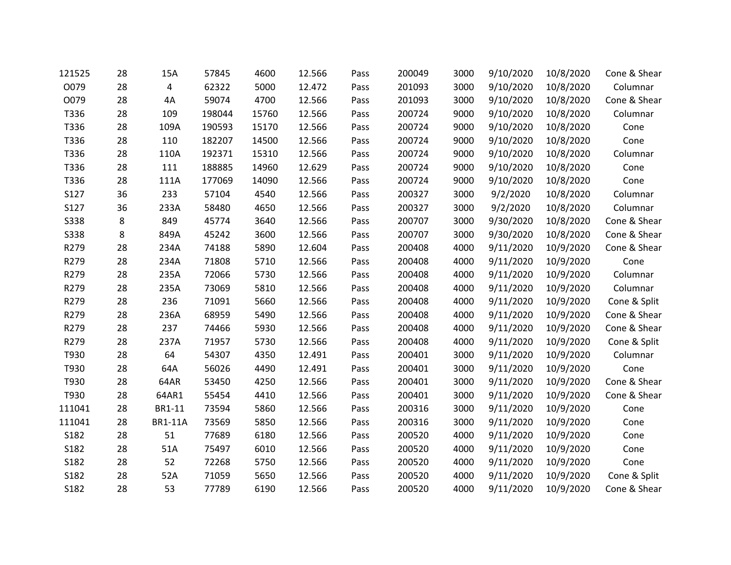| 121525      | 28 | 15A            | 57845  | 4600  | 12.566 | Pass | 200049 | 3000 | 9/10/2020 | 10/8/2020 | Cone & Shear |
|-------------|----|----------------|--------|-------|--------|------|--------|------|-----------|-----------|--------------|
| O079        | 28 | $\overline{4}$ | 62322  | 5000  | 12.472 | Pass | 201093 | 3000 | 9/10/2020 | 10/8/2020 | Columnar     |
| O079        | 28 | 4A             | 59074  | 4700  | 12.566 | Pass | 201093 | 3000 | 9/10/2020 | 10/8/2020 | Cone & Shear |
| T336        | 28 | 109            | 198044 | 15760 | 12.566 | Pass | 200724 | 9000 | 9/10/2020 | 10/8/2020 | Columnar     |
| T336        | 28 | 109A           | 190593 | 15170 | 12.566 | Pass | 200724 | 9000 | 9/10/2020 | 10/8/2020 | Cone         |
| T336        | 28 | 110            | 182207 | 14500 | 12.566 | Pass | 200724 | 9000 | 9/10/2020 | 10/8/2020 | Cone         |
| T336        | 28 | 110A           | 192371 | 15310 | 12.566 | Pass | 200724 | 9000 | 9/10/2020 | 10/8/2020 | Columnar     |
| T336        | 28 | 111            | 188885 | 14960 | 12.629 | Pass | 200724 | 9000 | 9/10/2020 | 10/8/2020 | Cone         |
| T336        | 28 | 111A           | 177069 | 14090 | 12.566 | Pass | 200724 | 9000 | 9/10/2020 | 10/8/2020 | Cone         |
| S127        | 36 | 233            | 57104  | 4540  | 12.566 | Pass | 200327 | 3000 | 9/2/2020  | 10/8/2020 | Columnar     |
| S127        | 36 | 233A           | 58480  | 4650  | 12.566 | Pass | 200327 | 3000 | 9/2/2020  | 10/8/2020 | Columnar     |
| <b>S338</b> | 8  | 849            | 45774  | 3640  | 12.566 | Pass | 200707 | 3000 | 9/30/2020 | 10/8/2020 | Cone & Shear |
| S338        | 8  | 849A           | 45242  | 3600  | 12.566 | Pass | 200707 | 3000 | 9/30/2020 | 10/8/2020 | Cone & Shear |
| R279        | 28 | 234A           | 74188  | 5890  | 12.604 | Pass | 200408 | 4000 | 9/11/2020 | 10/9/2020 | Cone & Shear |
| R279        | 28 | 234A           | 71808  | 5710  | 12.566 | Pass | 200408 | 4000 | 9/11/2020 | 10/9/2020 | Cone         |
| R279        | 28 | 235A           | 72066  | 5730  | 12.566 | Pass | 200408 | 4000 | 9/11/2020 | 10/9/2020 | Columnar     |
| R279        | 28 | 235A           | 73069  | 5810  | 12.566 | Pass | 200408 | 4000 | 9/11/2020 | 10/9/2020 | Columnar     |
| R279        | 28 | 236            | 71091  | 5660  | 12.566 | Pass | 200408 | 4000 | 9/11/2020 | 10/9/2020 | Cone & Split |
| R279        | 28 | 236A           | 68959  | 5490  | 12.566 | Pass | 200408 | 4000 | 9/11/2020 | 10/9/2020 | Cone & Shear |
| R279        | 28 | 237            | 74466  | 5930  | 12.566 | Pass | 200408 | 4000 | 9/11/2020 | 10/9/2020 | Cone & Shear |
| R279        | 28 | 237A           | 71957  | 5730  | 12.566 | Pass | 200408 | 4000 | 9/11/2020 | 10/9/2020 | Cone & Split |
| T930        | 28 | 64             | 54307  | 4350  | 12.491 | Pass | 200401 | 3000 | 9/11/2020 | 10/9/2020 | Columnar     |
| T930        | 28 | 64A            | 56026  | 4490  | 12.491 | Pass | 200401 | 3000 | 9/11/2020 | 10/9/2020 | Cone         |
| T930        | 28 | 64AR           | 53450  | 4250  | 12.566 | Pass | 200401 | 3000 | 9/11/2020 | 10/9/2020 | Cone & Shear |
| T930        | 28 | 64AR1          | 55454  | 4410  | 12.566 | Pass | 200401 | 3000 | 9/11/2020 | 10/9/2020 | Cone & Shear |
| 111041      | 28 | BR1-11         | 73594  | 5860  | 12.566 | Pass | 200316 | 3000 | 9/11/2020 | 10/9/2020 | Cone         |
| 111041      | 28 | <b>BR1-11A</b> | 73569  | 5850  | 12.566 | Pass | 200316 | 3000 | 9/11/2020 | 10/9/2020 | Cone         |
| S182        | 28 | 51             | 77689  | 6180  | 12.566 | Pass | 200520 | 4000 | 9/11/2020 | 10/9/2020 | Cone         |
| S182        | 28 | 51A            | 75497  | 6010  | 12.566 | Pass | 200520 | 4000 | 9/11/2020 | 10/9/2020 | Cone         |
| S182        | 28 | 52             | 72268  | 5750  | 12.566 | Pass | 200520 | 4000 | 9/11/2020 | 10/9/2020 | Cone         |
| S182        | 28 | 52A            | 71059  | 5650  | 12.566 | Pass | 200520 | 4000 | 9/11/2020 | 10/9/2020 | Cone & Split |
| S182        | 28 | 53             | 77789  | 6190  | 12.566 | Pass | 200520 | 4000 | 9/11/2020 | 10/9/2020 | Cone & Shear |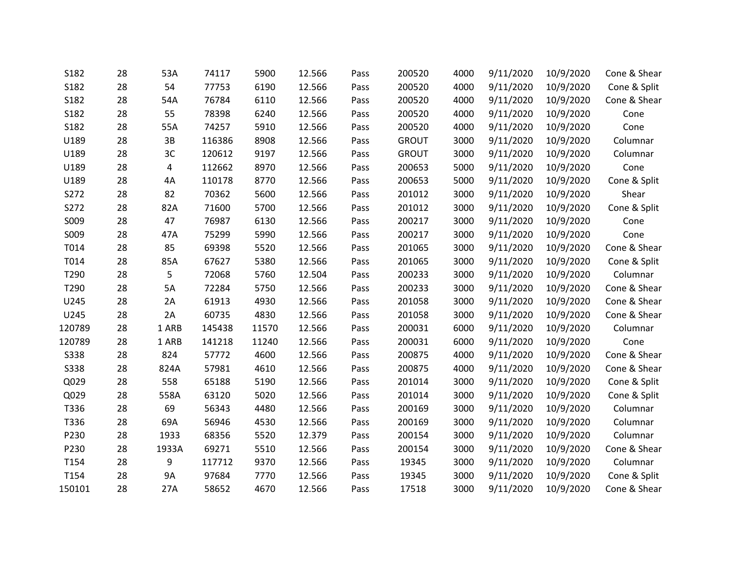| S182        | 28 | 53A   | 74117  | 5900  | 12.566 | Pass | 200520       | 4000 | 9/11/2020 | 10/9/2020 | Cone & Shear |
|-------------|----|-------|--------|-------|--------|------|--------------|------|-----------|-----------|--------------|
| S182        | 28 | 54    | 77753  | 6190  | 12.566 | Pass | 200520       | 4000 | 9/11/2020 | 10/9/2020 | Cone & Split |
| S182        | 28 | 54A   | 76784  | 6110  | 12.566 | Pass | 200520       | 4000 | 9/11/2020 | 10/9/2020 | Cone & Shear |
| S182        | 28 | 55    | 78398  | 6240  | 12.566 | Pass | 200520       | 4000 | 9/11/2020 | 10/9/2020 | Cone         |
| S182        | 28 | 55A   | 74257  | 5910  | 12.566 | Pass | 200520       | 4000 | 9/11/2020 | 10/9/2020 | Cone         |
| U189        | 28 | 3B    | 116386 | 8908  | 12.566 | Pass | <b>GROUT</b> | 3000 | 9/11/2020 | 10/9/2020 | Columnar     |
| U189        | 28 | 3C    | 120612 | 9197  | 12.566 | Pass | <b>GROUT</b> | 3000 | 9/11/2020 | 10/9/2020 | Columnar     |
| U189        | 28 | 4     | 112662 | 8970  | 12.566 | Pass | 200653       | 5000 | 9/11/2020 | 10/9/2020 | Cone         |
| U189        | 28 | 4A    | 110178 | 8770  | 12.566 | Pass | 200653       | 5000 | 9/11/2020 | 10/9/2020 | Cone & Split |
| S272        | 28 | 82    | 70362  | 5600  | 12.566 | Pass | 201012       | 3000 | 9/11/2020 | 10/9/2020 | Shear        |
| S272        | 28 | 82A   | 71600  | 5700  | 12.566 | Pass | 201012       | 3000 | 9/11/2020 | 10/9/2020 | Cone & Split |
| S009        | 28 | 47    | 76987  | 6130  | 12.566 | Pass | 200217       | 3000 | 9/11/2020 | 10/9/2020 | Cone         |
| S009        | 28 | 47A   | 75299  | 5990  | 12.566 | Pass | 200217       | 3000 | 9/11/2020 | 10/9/2020 | Cone         |
| T014        | 28 | 85    | 69398  | 5520  | 12.566 | Pass | 201065       | 3000 | 9/11/2020 | 10/9/2020 | Cone & Shear |
| T014        | 28 | 85A   | 67627  | 5380  | 12.566 | Pass | 201065       | 3000 | 9/11/2020 | 10/9/2020 | Cone & Split |
| T290        | 28 | 5     | 72068  | 5760  | 12.504 | Pass | 200233       | 3000 | 9/11/2020 | 10/9/2020 | Columnar     |
| T290        | 28 | 5A    | 72284  | 5750  | 12.566 | Pass | 200233       | 3000 | 9/11/2020 | 10/9/2020 | Cone & Shear |
| U245        | 28 | 2A    | 61913  | 4930  | 12.566 | Pass | 201058       | 3000 | 9/11/2020 | 10/9/2020 | Cone & Shear |
| U245        | 28 | 2A    | 60735  | 4830  | 12.566 | Pass | 201058       | 3000 | 9/11/2020 | 10/9/2020 | Cone & Shear |
| 120789      | 28 | 1 ARB | 145438 | 11570 | 12.566 | Pass | 200031       | 6000 | 9/11/2020 | 10/9/2020 | Columnar     |
| 120789      | 28 | 1 ARB | 141218 | 11240 | 12.566 | Pass | 200031       | 6000 | 9/11/2020 | 10/9/2020 | Cone         |
| <b>S338</b> | 28 | 824   | 57772  | 4600  | 12.566 | Pass | 200875       | 4000 | 9/11/2020 | 10/9/2020 | Cone & Shear |
| <b>S338</b> | 28 | 824A  | 57981  | 4610  | 12.566 | Pass | 200875       | 4000 | 9/11/2020 | 10/9/2020 | Cone & Shear |
| Q029        | 28 | 558   | 65188  | 5190  | 12.566 | Pass | 201014       | 3000 | 9/11/2020 | 10/9/2020 | Cone & Split |
| Q029        | 28 | 558A  | 63120  | 5020  | 12.566 | Pass | 201014       | 3000 | 9/11/2020 | 10/9/2020 | Cone & Split |
| T336        | 28 | 69    | 56343  | 4480  | 12.566 | Pass | 200169       | 3000 | 9/11/2020 | 10/9/2020 | Columnar     |
| T336        | 28 | 69A   | 56946  | 4530  | 12.566 | Pass | 200169       | 3000 | 9/11/2020 | 10/9/2020 | Columnar     |
| P230        | 28 | 1933  | 68356  | 5520  | 12.379 | Pass | 200154       | 3000 | 9/11/2020 | 10/9/2020 | Columnar     |
| P230        | 28 | 1933A | 69271  | 5510  | 12.566 | Pass | 200154       | 3000 | 9/11/2020 | 10/9/2020 | Cone & Shear |
| T154        | 28 | 9     | 117712 | 9370  | 12.566 | Pass | 19345        | 3000 | 9/11/2020 | 10/9/2020 | Columnar     |
| T154        | 28 | 9A    | 97684  | 7770  | 12.566 | Pass | 19345        | 3000 | 9/11/2020 | 10/9/2020 | Cone & Split |
| 150101      | 28 | 27A   | 58652  | 4670  | 12.566 | Pass | 17518        | 3000 | 9/11/2020 | 10/9/2020 | Cone & Shear |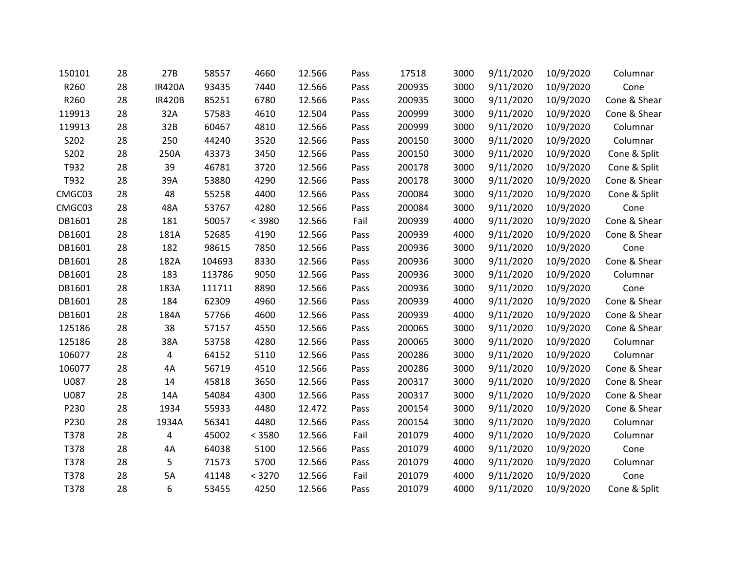| 150101 | 28 | 27B           | 58557  | 4660   | 12.566 | Pass | 17518  | 3000 | 9/11/2020 | 10/9/2020 | Columnar     |
|--------|----|---------------|--------|--------|--------|------|--------|------|-----------|-----------|--------------|
| R260   | 28 | <b>IR420A</b> | 93435  | 7440   | 12.566 | Pass | 200935 | 3000 | 9/11/2020 | 10/9/2020 | Cone         |
| R260   | 28 | <b>IR420B</b> | 85251  | 6780   | 12.566 | Pass | 200935 | 3000 | 9/11/2020 | 10/9/2020 | Cone & Shear |
| 119913 | 28 | 32A           | 57583  | 4610   | 12.504 | Pass | 200999 | 3000 | 9/11/2020 | 10/9/2020 | Cone & Shear |
| 119913 | 28 | 32B           | 60467  | 4810   | 12.566 | Pass | 200999 | 3000 | 9/11/2020 | 10/9/2020 | Columnar     |
| S202   | 28 | 250           | 44240  | 3520   | 12.566 | Pass | 200150 | 3000 | 9/11/2020 | 10/9/2020 | Columnar     |
| S202   | 28 | 250A          | 43373  | 3450   | 12.566 | Pass | 200150 | 3000 | 9/11/2020 | 10/9/2020 | Cone & Split |
| T932   | 28 | 39            | 46781  | 3720   | 12.566 | Pass | 200178 | 3000 | 9/11/2020 | 10/9/2020 | Cone & Split |
| T932   | 28 | 39A           | 53880  | 4290   | 12.566 | Pass | 200178 | 3000 | 9/11/2020 | 10/9/2020 | Cone & Shear |
| CMGC03 | 28 | 48            | 55258  | 4400   | 12.566 | Pass | 200084 | 3000 | 9/11/2020 | 10/9/2020 | Cone & Split |
| CMGC03 | 28 | 48A           | 53767  | 4280   | 12.566 | Pass | 200084 | 3000 | 9/11/2020 | 10/9/2020 | Cone         |
| DB1601 | 28 | 181           | 50057  | < 3980 | 12.566 | Fail | 200939 | 4000 | 9/11/2020 | 10/9/2020 | Cone & Shear |
| DB1601 | 28 | 181A          | 52685  | 4190   | 12.566 | Pass | 200939 | 4000 | 9/11/2020 | 10/9/2020 | Cone & Shear |
| DB1601 | 28 | 182           | 98615  | 7850   | 12.566 | Pass | 200936 | 3000 | 9/11/2020 | 10/9/2020 | Cone         |
| DB1601 | 28 | 182A          | 104693 | 8330   | 12.566 | Pass | 200936 | 3000 | 9/11/2020 | 10/9/2020 | Cone & Shear |
| DB1601 | 28 | 183           | 113786 | 9050   | 12.566 | Pass | 200936 | 3000 | 9/11/2020 | 10/9/2020 | Columnar     |
| DB1601 | 28 | 183A          | 111711 | 8890   | 12.566 | Pass | 200936 | 3000 | 9/11/2020 | 10/9/2020 | Cone         |
| DB1601 | 28 | 184           | 62309  | 4960   | 12.566 | Pass | 200939 | 4000 | 9/11/2020 | 10/9/2020 | Cone & Shear |
| DB1601 | 28 | 184A          | 57766  | 4600   | 12.566 | Pass | 200939 | 4000 | 9/11/2020 | 10/9/2020 | Cone & Shear |
| 125186 | 28 | 38            | 57157  | 4550   | 12.566 | Pass | 200065 | 3000 | 9/11/2020 | 10/9/2020 | Cone & Shear |
| 125186 | 28 | 38A           | 53758  | 4280   | 12.566 | Pass | 200065 | 3000 | 9/11/2020 | 10/9/2020 | Columnar     |
| 106077 | 28 | 4             | 64152  | 5110   | 12.566 | Pass | 200286 | 3000 | 9/11/2020 | 10/9/2020 | Columnar     |
| 106077 | 28 | 4A            | 56719  | 4510   | 12.566 | Pass | 200286 | 3000 | 9/11/2020 | 10/9/2020 | Cone & Shear |
| U087   | 28 | 14            | 45818  | 3650   | 12.566 | Pass | 200317 | 3000 | 9/11/2020 | 10/9/2020 | Cone & Shear |
| U087   | 28 | 14A           | 54084  | 4300   | 12.566 | Pass | 200317 | 3000 | 9/11/2020 | 10/9/2020 | Cone & Shear |
| P230   | 28 | 1934          | 55933  | 4480   | 12.472 | Pass | 200154 | 3000 | 9/11/2020 | 10/9/2020 | Cone & Shear |
| P230   | 28 | 1934A         | 56341  | 4480   | 12.566 | Pass | 200154 | 3000 | 9/11/2020 | 10/9/2020 | Columnar     |
| T378   | 28 | 4             | 45002  | < 3580 | 12.566 | Fail | 201079 | 4000 | 9/11/2020 | 10/9/2020 | Columnar     |
| T378   | 28 | 4A            | 64038  | 5100   | 12.566 | Pass | 201079 | 4000 | 9/11/2020 | 10/9/2020 | Cone         |
| T378   | 28 | 5             | 71573  | 5700   | 12.566 | Pass | 201079 | 4000 | 9/11/2020 | 10/9/2020 | Columnar     |
| T378   | 28 | 5A            | 41148  | < 3270 | 12.566 | Fail | 201079 | 4000 | 9/11/2020 | 10/9/2020 | Cone         |
| T378   | 28 | 6             | 53455  | 4250   | 12.566 | Pass | 201079 | 4000 | 9/11/2020 | 10/9/2020 | Cone & Split |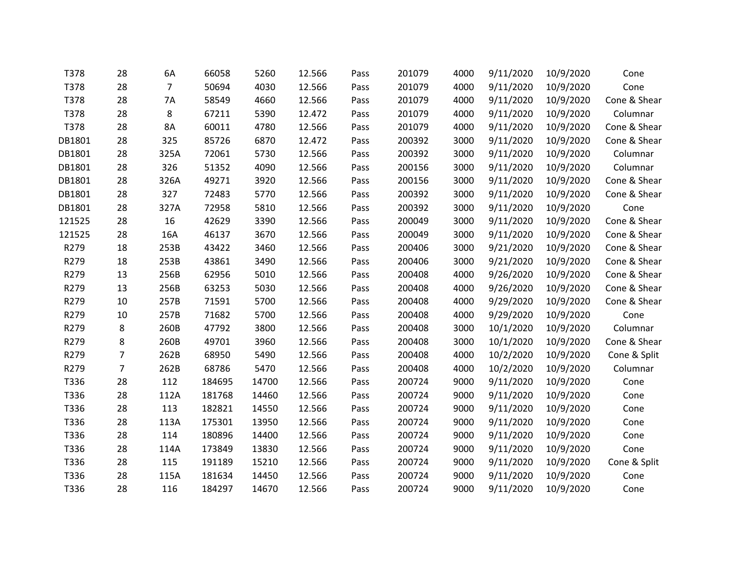| T378   | 28 | 6A             | 66058  | 5260  | 12.566 | Pass | 201079 | 4000 | 9/11/2020 | 10/9/2020 | Cone         |
|--------|----|----------------|--------|-------|--------|------|--------|------|-----------|-----------|--------------|
| T378   | 28 | $\overline{7}$ | 50694  | 4030  | 12.566 | Pass | 201079 | 4000 | 9/11/2020 | 10/9/2020 | Cone         |
| T378   | 28 | 7A             | 58549  | 4660  | 12.566 | Pass | 201079 | 4000 | 9/11/2020 | 10/9/2020 | Cone & Shear |
| T378   | 28 | 8              | 67211  | 5390  | 12.472 | Pass | 201079 | 4000 | 9/11/2020 | 10/9/2020 | Columnar     |
| T378   | 28 | 8A             | 60011  | 4780  | 12.566 | Pass | 201079 | 4000 | 9/11/2020 | 10/9/2020 | Cone & Shear |
| DB1801 | 28 | 325            | 85726  | 6870  | 12.472 | Pass | 200392 | 3000 | 9/11/2020 | 10/9/2020 | Cone & Shear |
| DB1801 | 28 | 325A           | 72061  | 5730  | 12.566 | Pass | 200392 | 3000 | 9/11/2020 | 10/9/2020 | Columnar     |
| DB1801 | 28 | 326            | 51352  | 4090  | 12.566 | Pass | 200156 | 3000 | 9/11/2020 | 10/9/2020 | Columnar     |
| DB1801 | 28 | 326A           | 49271  | 3920  | 12.566 | Pass | 200156 | 3000 | 9/11/2020 | 10/9/2020 | Cone & Shear |
| DB1801 | 28 | 327            | 72483  | 5770  | 12.566 | Pass | 200392 | 3000 | 9/11/2020 | 10/9/2020 | Cone & Shear |
| DB1801 | 28 | 327A           | 72958  | 5810  | 12.566 | Pass | 200392 | 3000 | 9/11/2020 | 10/9/2020 | Cone         |
| 121525 | 28 | 16             | 42629  | 3390  | 12.566 | Pass | 200049 | 3000 | 9/11/2020 | 10/9/2020 | Cone & Shear |
| 121525 | 28 | 16A            | 46137  | 3670  | 12.566 | Pass | 200049 | 3000 | 9/11/2020 | 10/9/2020 | Cone & Shear |
| R279   | 18 | 253B           | 43422  | 3460  | 12.566 | Pass | 200406 | 3000 | 9/21/2020 | 10/9/2020 | Cone & Shear |
| R279   | 18 | 253B           | 43861  | 3490  | 12.566 | Pass | 200406 | 3000 | 9/21/2020 | 10/9/2020 | Cone & Shear |
| R279   | 13 | 256B           | 62956  | 5010  | 12.566 | Pass | 200408 | 4000 | 9/26/2020 | 10/9/2020 | Cone & Shear |
| R279   | 13 | 256B           | 63253  | 5030  | 12.566 | Pass | 200408 | 4000 | 9/26/2020 | 10/9/2020 | Cone & Shear |
| R279   | 10 | 257B           | 71591  | 5700  | 12.566 | Pass | 200408 | 4000 | 9/29/2020 | 10/9/2020 | Cone & Shear |
| R279   | 10 | 257B           | 71682  | 5700  | 12.566 | Pass | 200408 | 4000 | 9/29/2020 | 10/9/2020 | Cone         |
| R279   | 8  | 260B           | 47792  | 3800  | 12.566 | Pass | 200408 | 3000 | 10/1/2020 | 10/9/2020 | Columnar     |
| R279   | 8  | 260B           | 49701  | 3960  | 12.566 | Pass | 200408 | 3000 | 10/1/2020 | 10/9/2020 | Cone & Shear |
| R279   | 7  | 262B           | 68950  | 5490  | 12.566 | Pass | 200408 | 4000 | 10/2/2020 | 10/9/2020 | Cone & Split |
| R279   | 7  | 262B           | 68786  | 5470  | 12.566 | Pass | 200408 | 4000 | 10/2/2020 | 10/9/2020 | Columnar     |
| T336   | 28 | 112            | 184695 | 14700 | 12.566 | Pass | 200724 | 9000 | 9/11/2020 | 10/9/2020 | Cone         |
| T336   | 28 | 112A           | 181768 | 14460 | 12.566 | Pass | 200724 | 9000 | 9/11/2020 | 10/9/2020 | Cone         |
| T336   | 28 | 113            | 182821 | 14550 | 12.566 | Pass | 200724 | 9000 | 9/11/2020 | 10/9/2020 | Cone         |
| T336   | 28 | 113A           | 175301 | 13950 | 12.566 | Pass | 200724 | 9000 | 9/11/2020 | 10/9/2020 | Cone         |
| T336   | 28 | 114            | 180896 | 14400 | 12.566 | Pass | 200724 | 9000 | 9/11/2020 | 10/9/2020 | Cone         |
| T336   | 28 | 114A           | 173849 | 13830 | 12.566 | Pass | 200724 | 9000 | 9/11/2020 | 10/9/2020 | Cone         |
| T336   | 28 | 115            | 191189 | 15210 | 12.566 | Pass | 200724 | 9000 | 9/11/2020 | 10/9/2020 | Cone & Split |
| T336   | 28 | 115A           | 181634 | 14450 | 12.566 | Pass | 200724 | 9000 | 9/11/2020 | 10/9/2020 | Cone         |
| T336   | 28 | 116            | 184297 | 14670 | 12.566 | Pass | 200724 | 9000 | 9/11/2020 | 10/9/2020 | Cone         |